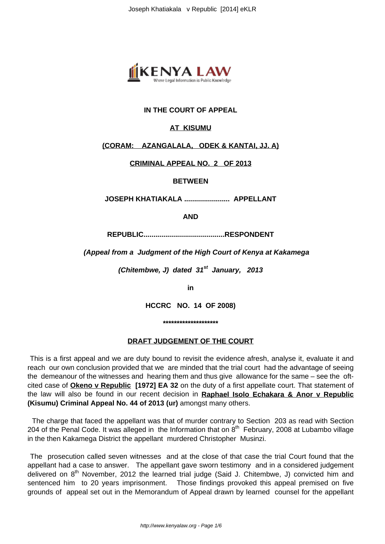

## **IN THE COURT OF APPEAL**

## **AT KISUMU**

#### **(CORAM: AZANGALALA, ODEK & KANTAI, JJ. A)**

**CRIMINAL APPEAL NO. 2 OF 2013**

**BETWEEN**

**JOSEPH KHATIAKALA ....................... APPELLANT**

**AND**

**REPUBLIC.........................................RESPONDENT**

 **(Appeal from a Judgment of the High Court of Kenya at Kakamega**

**(Chitembwe, J) dated 31st January, 2013**

**in**

**HCCRC NO. 14 OF 2008)**

**\*\*\*\*\*\*\*\*\*\*\*\*\*\*\*\*\*\*\*\***

#### **DRAFT JUDGEMENT OF THE COURT**

This is a first appeal and we are duty bound to revisit the evidence afresh, analyse it, evaluate it and reach our own conclusion provided that we are minded that the trial court had the advantage of seeing the demeanour of the witnesses and hearing them and thus give allowance for the same – see the oftcited case of **Okeno v Republic [1972] EA 32** on the duty of a first appellate court. That statement of the law will also be found in our recent decision in **Raphael Isolo Echakara & Anor v Republic (Kisumu) Criminal Appeal No. 44 of 2013 (ur)** amongst many others.

 The charge that faced the appellant was that of murder contrary to Section 203 as read with Section 204 of the Penal Code. It was alleged in the Information that on  $8<sup>th</sup>$  February, 2008 at Lubambo village in the then Kakamega District the appellant murdered Christopher Musinzi.

The prosecution called seven witnesses and at the close of that case the trial Court found that the appellant had a case to answer. The appellant gave sworn testimony and in a considered judgement delivered on  $8<sup>th</sup>$  November, 2012 the learned trial judge (Said J. Chitembwe, J) convicted him and sentenced him to 20 years imprisonment. Those findings provoked this appeal premised on five grounds of appeal set out in the Memorandum of Appeal drawn by learned counsel for the appellant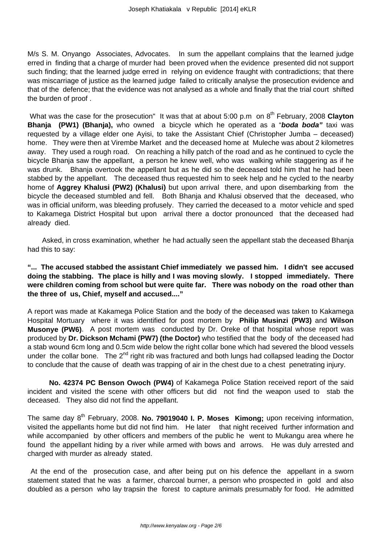M/s S. M. Onyango Associates, Advocates. In sum the appellant complains that the learned judge erred in finding that a charge of murder had been proved when the evidence presented did not support such finding; that the learned judge erred in relying on evidence fraught with contradictions; that there was miscarriage of justice as the learned judge failed to critically analyse the prosecution evidence and that of the defence; that the evidence was not analysed as a whole and finally that the trial court shifted the burden of proof .

What was the case for the prosecution" It was that at about 5:00 p.m on 8<sup>th</sup> February, 2008 Clayton **Bhanja (PW1) (Bhanja),** who owned a bicycle which he operated as a "**boda boda"** taxi was requested by a village elder one Ayisi, to take the Assistant Chief (Christopher Jumba – deceased) home. They were then at Virembe Market and the deceased home at Muleche was about 2 kilometres away. They used a rough road. On reaching a hilly patch of the road and as he continued to cycle the bicycle Bhanja saw the appellant, a person he knew well, who was walking while staggering as if he was drunk. Bhanja overtook the appellant but as he did so the deceased told him that he had been stabbed by the appellant. The deceased thus requested him to seek help and he cycled to the nearby home of **Aggrey Khalusi (PW2) (Khalusi)** but upon arrival there, and upon disembarking from the bicycle the deceased stumbled and fell. Both Bhanja and Khalusi observed that the deceased, who was in official uniform, was bleeding profusely. They carried the deceased to a motor vehicle and sped to Kakamega District Hospital but upon arrival there a doctor pronounced that the deceased had already died.

 Asked, in cross examination, whether he had actually seen the appellant stab the deceased Bhanja had this to say:

**"... The accused stabbed the assistant Chief immediately we passed him. I didn't see accused doing the stabbing. The place is hilly and I was moving slowly. I stopped immediately. There were children coming from school but were quite far. There was nobody on the road other than the three of us, Chief, myself and accused...."**

A report was made at Kakamega Police Station and the body of the deceased was taken to Kakamega Hospital Mortuary where it was identified for post mortem by **Philip Musinzi (PW3)** and **Wilson Musonye (PW6)**. A post mortem was conducted by Dr. Oreke of that hospital whose report was produced by **Dr. Dickson Mchami (PW7) (the Doctor)** who testified that the body of the deceased had a stab wound 6cm long and 0.5cm wide below the right collar bone which had severed the blood vessels under the collar bone. The  $2^{nd}$  right rib was fractured and both lungs had collapsed leading the Doctor to conclude that the cause of death was trapping of air in the chest due to a chest penetrating injury.

**No. 42374 PC Benson Owoch (PW4)** of Kakamega Police Station received report of the said incident and visited the scene with other officers but did not find the weapon used to stab the deceased. They also did not find the appellant.

The same day 8<sup>th</sup> February, 2008. No. 79019040 I. P. Moses Kimong; upon receiving information, visited the appellants home but did not find him. He later that night received further information and while accompanied by other officers and members of the public he went to Mukangu area where he found the appellant hiding by a river while armed with bows and arrows. He was duly arrested and charged with murder as already stated.

At the end of the prosecution case, and after being put on his defence the appellant in a sworn statement stated that he was a farmer, charcoal burner, a person who prospected in gold and also doubled as a person who lay trapsin the forest to capture animals presumably for food. He admitted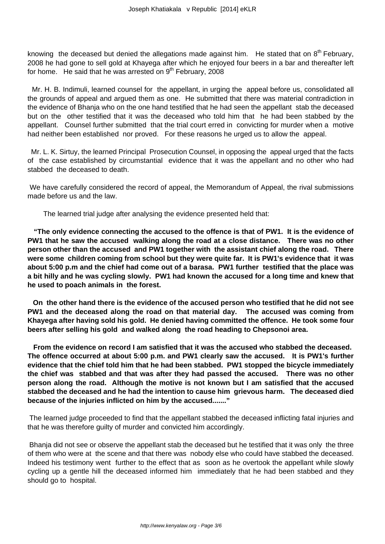knowing the deceased but denied the allegations made against him. He stated that on  $8<sup>th</sup>$  February, 2008 he had gone to sell gold at Khayega after which he enjoyed four beers in a bar and thereafter left for home. He said that he was arrested on  $9<sup>th</sup>$  February, 2008

 Mr. H. B. Indimuli, learned counsel for the appellant, in urging the appeal before us, consolidated all the grounds of appeal and argued them as one. He submitted that there was material contradiction in the evidence of Bhanja who on the one hand testified that he had seen the appellant stab the deceased but on the other testified that it was the deceased who told him that he had been stabbed by the appellant. Counsel further submitted that the trial court erred in convicting for murder when a motive had neither been established nor proved. For these reasons he urged us to allow the appeal.

 Mr. L. K. Sirtuy, the learned Principal Prosecution Counsel, in opposing the appeal urged that the facts of the case established by circumstantial evidence that it was the appellant and no other who had stabbed the deceased to death.

We have carefully considered the record of appeal, the Memorandum of Appeal, the rival submissions made before us and the law.

The learned trial judge after analysing the evidence presented held that:

**"The only evidence connecting the accused to the offence is that of PW1. It is the evidence of PW1 that he saw the accused walking along the road at a close distance. There was no other person other than the accused and PW1 together with the assistant chief along the road. There were some children coming from school but they were quite far. It is PW1's evidence that it was about 5:00 p.m and the chief had come out of a barasa. PW1 further testified that the place was a bit hilly and he was cycling slowly. PW1 had known the accused for a long time and knew that he used to poach animals in the forest.**

 **On the other hand there is the evidence of the accused person who testified that he did not see PW1 and the deceased along the road on that material day. The accused was coming from Khayega after having sold his gold. He denied having committed the offence. He took some four beers after selling his gold and walked along the road heading to Chepsonoi area.**

 **From the evidence on record I am satisfied that it was the accused who stabbed the deceased. The offence occurred at about 5:00 p.m. and PW1 clearly saw the accused. It is PW1's further evidence that the chief told him that he had been stabbed. PW1 stopped the bicycle immediately the chief was stabbed and that was after they had passed the accused. There was no other person along the road. Although the motive is not known but I am satisfied that the accused stabbed the deceased and he had the intention to cause him grievous harm. The deceased died because of the injuries inflicted on him by the accused......."**

The learned judge proceeded to find that the appellant stabbed the deceased inflicting fatal injuries and that he was therefore guilty of murder and convicted him accordingly.

Bhanja did not see or observe the appellant stab the deceased but he testified that it was only the three of them who were at the scene and that there was nobody else who could have stabbed the deceased. Indeed his testimony went further to the effect that as soon as he overtook the appellant while slowly cycling up a gentle hill the deceased informed him immediately that he had been stabbed and they should go to hospital.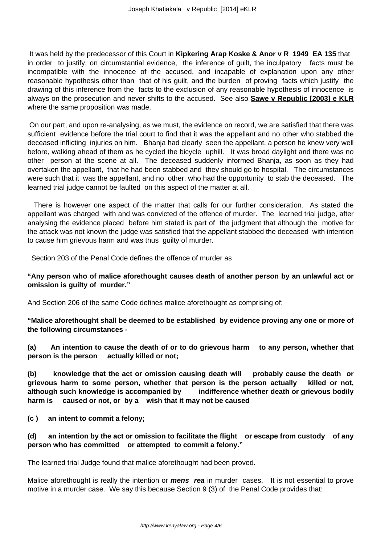It was held by the predecessor of this Court in **Kipkering Arap Koske & Anor v R 1949 EA 135** that in order to justify, on circumstantial evidence, the inference of guilt, the inculpatory facts must be incompatible with the innocence of the accused, and incapable of explanation upon any other reasonable hypothesis other than that of his guilt, and the burden of proving facts which justify the drawing of this inference from the facts to the exclusion of any reasonable hypothesis of innocence is always on the prosecution and never shifts to the accused. See also **Sawe v Republic [2003] e KLR** where the same proposition was made.

On our part, and upon re-analysing, as we must, the evidence on record, we are satisfied that there was sufficient evidence before the trial court to find that it was the appellant and no other who stabbed the deceased inflicting injuries on him. Bhanja had clearly seen the appellant, a person he knew very well before, walking ahead of them as he cycled the bicycle uphill. It was broad daylight and there was no other person at the scene at all. The deceased suddenly informed Bhanja, as soon as they had overtaken the appellant, that he had been stabbed and they should go to hospital. The circumstances were such that it was the appellant, and no other, who had the opportunity to stab the deceased. The learned trial judge cannot be faulted on this aspect of the matter at all.

 There is however one aspect of the matter that calls for our further consideration. As stated the appellant was charged with and was convicted of the offence of murder. The learned trial judge, after analysing the evidence placed before him stated is part of the judgment that although the motive for the attack was not known the judge was satisfied that the appellant stabbed the deceased with intention to cause him grievous harm and was thus guilty of murder.

Section 203 of the Penal Code defines the offence of murder as

**"Any person who of malice aforethought causes death of another person by an unlawful act or omission is guilty of murder."**

And Section 206 of the same Code defines malice aforethought as comprising of:

**"Malice aforethought shall be deemed to be established by evidence proving any one or more of the following circumstances -** 

**(a) An intention to cause the death of or to do grievous harm to any person, whether that person is the person actually killed or not;** 

**(b) knowledge that the act or omission causing death will probably cause the death or grievous harm to some person, whether that person is the person actually killed or not, although such knowledge is accompanied by indifference whether death or grievous bodily harm is caused or not, or by a wish that it may not be caused**

**(c ) an intent to commit a felony;**

**(d) an intention by the act or omission to facilitate the flight or escape from custody of any person who has committed or attempted to commit a felony."**

The learned trial Judge found that malice aforethought had been proved.

Malice aforethought is really the intention or **mens rea** in murder cases. It is not essential to prove motive in a murder case. We say this because Section 9 (3) of the Penal Code provides that: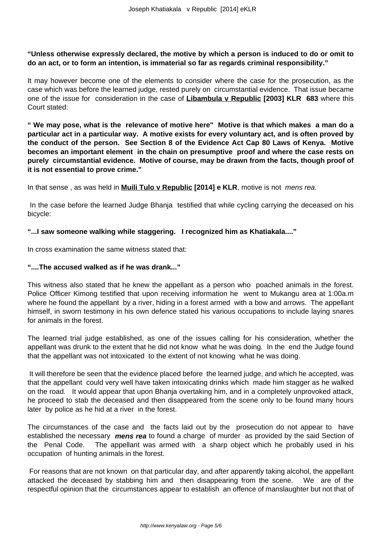#### **"Unless otherwise expressly declared, the motive by which a person is induced to do or omit to do an act, or to form an intention, is immaterial so far as regards criminal responsibility."**

It may however become one of the elements to consider where the case for the prosecution, as the case which was before the learned judge, rested purely on circumstantial evidence. That issue became one of the issue for consideration in the case of **Libambula v Republic [2003] KLR 683** where this Court stated:

**" We may pose, what is the relevance of motive here" Motive is that which makes a man do a particular act in a particular way. A motive exists for every voluntary act, and is often proved by the conduct of the person. See Section 8 of the Evidence Act Cap 80 Laws of Kenya. Motive becomes an important element in the chain on presumptive proof and where the case rests on purely circumstantial evidence. Motive of course, may be drawn from the facts, though proof of it is not essential to prove crime."**

In that sense , as was held in **Muili Tulo v Republic [2014] e KLR**, motive is not mens rea.

In the case before the learned Judge Bhanja testified that while cycling carrying the deceased on his bicycle:

### **"...I saw someone walking while staggering. I recognized him as Khatiakala...."**

In cross examination the same witness stated that:

### **"....The accused walked as if he was drank..."**

This witness also stated that he knew the appellant as a person who poached animals in the forest. Police Officer Kimong testified that upon receiving information he went to Mukangu area at 1:00a.m where he found the appellant by a river, hiding in a forest armed with a bow and arrows. The appellant himself, in sworn testimony in his own defence stated his various occupations to include laying snares for animals in the forest.

The learned trial judge established, as one of the issues calling for his consideration, whether the appellant was drunk to the extent that he did not know what he was doing. In the end the Judge found that the appellant was not intoxicated to the extent of not knowing what he was doing.

It will therefore be seen that the evidence placed before the learned judge, and which he accepted, was that the appellant could very well have taken intoxicating drinks which made him stagger as he walked on the road. It would appear that upon Bhanja overtaking him, and in a completely unprovoked attack, he proceed to stab the deceased and then disappeared from the scene only to be found many hours later by police as he hid at a river in the forest.

The circumstances of the case and the facts laid out by the prosecution do not appear to have established the necessary **mens rea** to found a charge of murder as provided by the said Section of the Penal Code. The appellant was armed with a sharp object which he probably used in his occupation of hunting animals in the forest.

For reasons that are not known on that particular day, and after apparently taking alcohol, the appellant attacked the deceased by stabbing him and then disappearing from the scene. We are of the respectful opinion that the circumstances appear to establish an offence of manslaughter but not that of